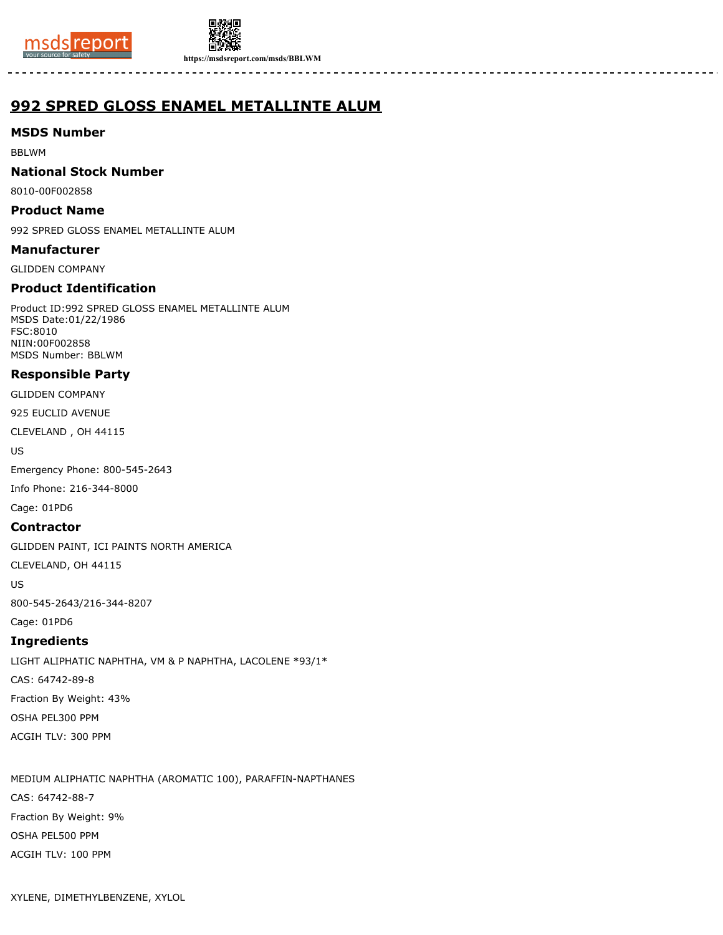



**https://msdsreport.com/msds/BBLWM**

# **992 SPRED GLOSS ENAMEL METALLINTE ALUM**

## **MSDS Number**

BBLWM

### **National Stock Number**

8010-00F002858

## **Product Name**

992 SPRED GLOSS ENAMEL METALLINTE ALUM

#### **Manufacturer**

GLIDDEN COMPANY

## **Product Identification**

Product ID:992 SPRED GLOSS ENAMEL METALLINTE ALUM MSDS Date:01/22/1986 FSC:8010 NIIN:00F002858 MSDS Number: BBLWM

## **Responsible Party**

GLIDDEN COMPANY

925 EUCLID AVENUE

CLEVELAND , OH 44115

US

Emergency Phone: 800-545-2643

Info Phone: 216-344-8000

Cage: 01PD6

## **Contractor**

GLIDDEN PAINT, ICI PAINTS NORTH AMERICA

CLEVELAND, OH 44115

US

800-545-2643/216-344-8207

## Cage: 01PD6

## **Ingredients**

LIGHT ALIPHATIC NAPHTHA, VM & P NAPHTHA, LACOLENE \*93/1\* CAS: 64742-89-8 Fraction By Weight: 43% OSHA PEL300 PPM ACGIH TLV: 300 PPM

MEDIUM ALIPHATIC NAPHTHA (AROMATIC 100), PARAFFIN-NAPTHANES CAS: 64742-88-7 Fraction By Weight: 9% OSHA PEL500 PPM ACGIH TLV: 100 PPM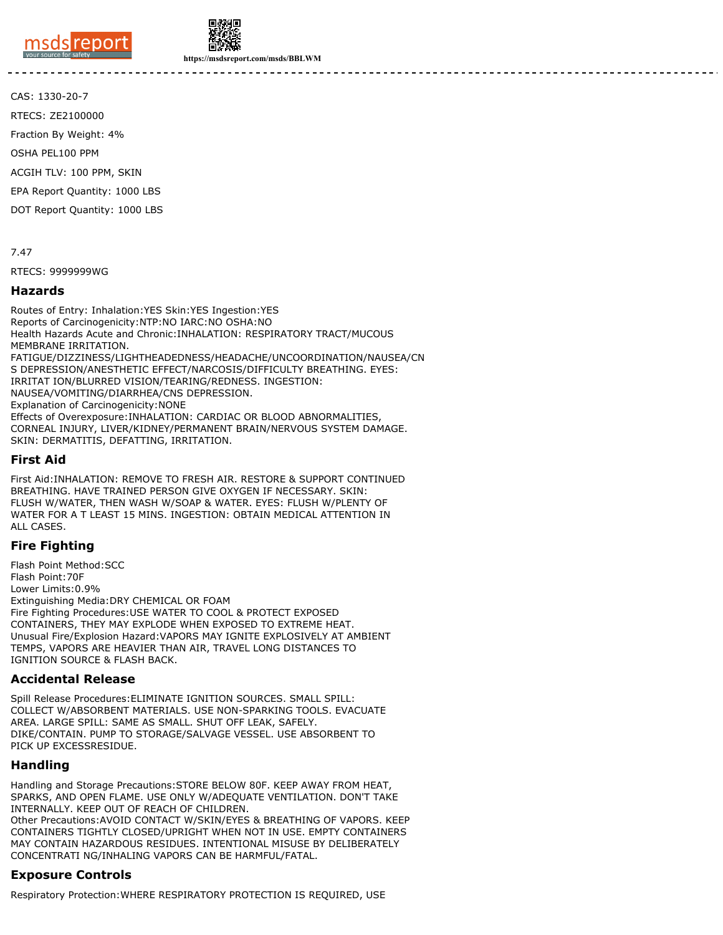



**https://msdsreport.com/msds/BBLWM**

CAS: 1330-20-7

RTECS: ZE2100000

Fraction By Weight: 4%

OSHA PEL100 PPM

ACGIH TLV: 100 PPM, SKIN

EPA Report Quantity: 1000 LBS

DOT Report Quantity: 1000 LBS

7.47

RTECS: 9999999WG

#### **Hazards**

Routes of Entry: Inhalation:YES Skin:YES Ingestion:YES Reports of Carcinogenicity:NTP:NO IARC:NO OSHA:NO Health Hazards Acute and Chronic:INHALATION: RESPIRATORY TRACT/MUCOUS MEMBRANE IRRITATION. FATIGUE/DIZZINESS/LIGHTHEADEDNESS/HEADACHE/UNCOORDINATION/NAUSEA/CN S DEPRESSION/ANESTHETIC EFFECT/NARCOSIS/DIFFICULTY BREATHING. EYES: IRRITAT ION/BLURRED VISION/TEARING/REDNESS. INGESTION: NAUSEA/VOMITING/DIARRHEA/CNS DEPRESSION. Explanation of Carcinogenicity:NONE Effects of Overexposure:INHALATION: CARDIAC OR BLOOD ABNORMALITIES, CORNEAL INJURY, LIVER/KIDNEY/PERMANENT BRAIN/NERVOUS SYSTEM DAMAGE. SKIN: DERMATITIS, DEFATTING, IRRITATION.

#### **First Aid**

First Aid:INHALATION: REMOVE TO FRESH AIR. RESTORE & SUPPORT CONTINUED BREATHING. HAVE TRAINED PERSON GIVE OXYGEN IF NECESSARY. SKIN: FLUSH W/WATER, THEN WASH W/SOAP & WATER. EYES: FLUSH W/PLENTY OF WATER FOR A T LEAST 15 MINS. INGESTION: OBTAIN MEDICAL ATTENTION IN ALL CASES.

## **Fire Fighting**

Flash Point Method:SCC Flash Point:70F Lower Limits:0.9% Extinguishing Media:DRY CHEMICAL OR FOAM Fire Fighting Procedures:USE WATER TO COOL & PROTECT EXPOSED CONTAINERS, THEY MAY EXPLODE WHEN EXPOSED TO EXTREME HEAT. Unusual Fire/Explosion Hazard:VAPORS MAY IGNITE EXPLOSIVELY AT AMBIENT TEMPS, VAPORS ARE HEAVIER THAN AIR, TRAVEL LONG DISTANCES TO IGNITION SOURCE & FLASH BACK.

#### **Accidental Release**

Spill Release Procedures:ELIMINATE IGNITION SOURCES. SMALL SPILL: COLLECT W/ABSORBENT MATERIALS. USE NON-SPARKING TOOLS. EVACUATE AREA. LARGE SPILL: SAME AS SMALL. SHUT OFF LEAK, SAFELY. DIKE/CONTAIN. PUMP TO STORAGE/SALVAGE VESSEL. USE ABSORBENT TO PICK UP EXCESSRESIDUE.

#### **Handling**

Handling and Storage Precautions:STORE BELOW 80F. KEEP AWAY FROM HEAT, SPARKS, AND OPEN FLAME. USE ONLY W/ADEQUATE VENTILATION. DON'T TAKE INTERNALLY. KEEP OUT OF REACH OF CHILDREN. Other Precautions:AVOID CONTACT W/SKIN/EYES & BREATHING OF VAPORS. KEEP CONTAINERS TIGHTLY CLOSED/UPRIGHT WHEN NOT IN USE. EMPTY CONTAINERS MAY CONTAIN HAZARDOUS RESIDUES. INTENTIONAL MISUSE BY DELIBERATELY CONCENTRATI NG/INHALING VAPORS CAN BE HARMFUL/FATAL.

## **Exposure Controls**

Respiratory Protection:WHERE RESPIRATORY PROTECTION IS REQUIRED, USE